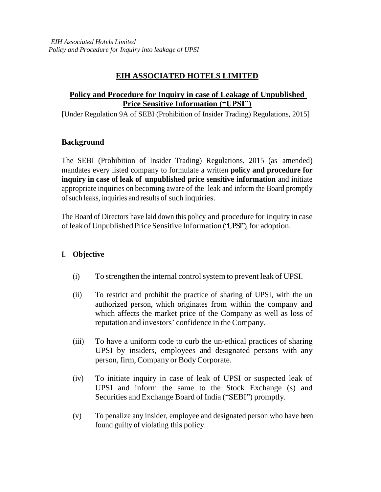# **EIH ASSOCIATED HOTELS LIMITED**

## **Policy and Procedure for Inquiry in case of Leakage of Unpublished Price Sensitive Information ("UPSI")**

[Under Regulation 9A of SEBI (Prohibition of Insider Trading) Regulations, 2015]

## **Background**

The SEBI (Prohibition of Insider Trading) Regulations, 2015 (as amended) mandates every listed company to formulate a written **policy and procedure for inquiry in case of leak of unpublished price sensitive information** and initiate appropriate inquiries on becoming aware of the leak and inform the Board promptly of such leaks, inquiries and results of such inquiries.

The Board of Directors have laid down this policy and procedure for inquiry in case of leak of Unpublished Price Sensitive Information ("UPSI"), for adoption.

## **I. Objective**

- (i) To strengthen the internal controlsystem to prevent leak of UPSI.
- (ii) To restrict and prohibit the practice of sharing of UPSI, with the un authorized person, which originates from within the company and which affects the market price of the Company as well as loss of reputation and investors' confidence in the Company.
- (iii) To have a uniform code to curb the un-ethical practices of sharing UPSI by insiders, employees and designated persons with any person, firm, Company or BodyCorporate.
- (iv) To initiate inquiry in case of leak of UPSI or suspected leak of UPSI and inform the same to the Stock Exchange (s) and Securities and Exchange Board of India ("SEBI") promptly.
- (v) To penalize any insider, employee and designated person who have been found guilty of violating this policy.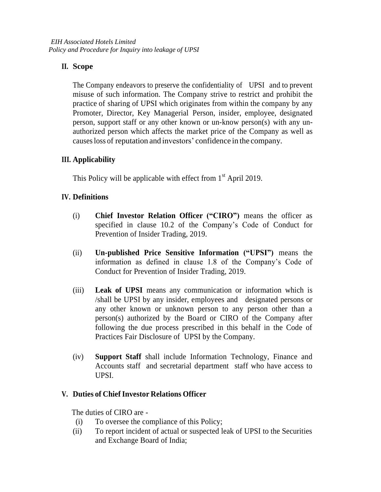## **II. Scope**

The Company endeavors to preserve the confidentiality of UPSI and to prevent misuse of such information. The Company strive to restrict and prohibit the practice of sharing of UPSI which originates from within the company by any Promoter, Director, Key Managerial Person, insider, employee, designated person, support staff or any other known or un-know person(s) with any unauthorized person which affects the market price of the Company as well as causesloss of reputation and investors' confidence in the company.

## **III. Applicability**

This Policy will be applicable with effect from  $1<sup>st</sup>$  April 2019.

## **IV. Definitions**

- (i) **Chief Investor Relation Officer ("CIRO")** means the officer as specified in clause 10.2 of the Company's Code of Conduct for Prevention of Insider Trading, 2019.
- (ii) **Un-published Price Sensitive Information ("UPSI")** means the information as defined in clause 1.8 of the Company's Code of Conduct for Prevention of Insider Trading, 2019.
- (iii) **Leak of UPSI** means any communication or information which is /shall be UPSI by any insider, employees and designated persons or any other known or unknown person to any person other than a person(s) authorized by the Board or CIRO of the Company after following the due process prescribed in this behalf in the Code of Practices Fair Disclosure of UPSI by the Company.
- (iv) **Support Staff** shall include Information Technology, Finance and Accounts staff and secretarial department staff who have access to UPSI.

## **V. Duties of Chief Investor Relations Officer**

The duties of CIRO are -

- (i) To oversee the compliance of this Policy;
- (ii) To report incident of actual or suspected leak of UPSI to the Securities and Exchange Board of India;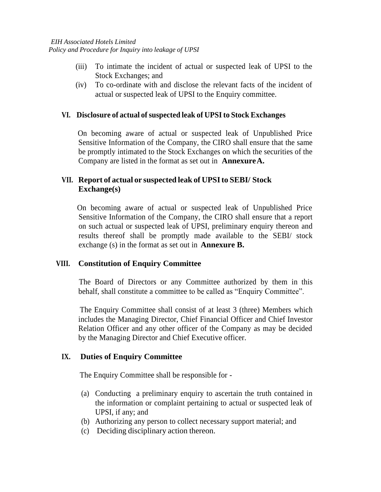- (iii) To intimate the incident of actual or suspected leak of UPSI to the Stock Exchanges; and
- (iv) To co-ordinate with and disclose the relevant facts of the incident of actual or suspected leak of UPSI to the Enquiry committee.

#### **VI. Disclosure of actual ofsuspected leak of UPSIto Stock Exchanges**

 On becoming aware of actual or suspected leak of Unpublished Price Sensitive Information of the Company, the CIRO shall ensure that the same be promptly intimated to the Stock Exchanges on which the securities of the Company are listed in the format as set out in **AnnexureA.**

## **VII. Report of actual or suspected leak of UPSIto SEBI/ Stock Exchange(s)**

 On becoming aware of actual or suspected leak of Unpublished Price Sensitive Information of the Company, the CIRO shall ensure that a report on such actual or suspected leak of UPSI, preliminary enquiry thereon and results thereof shall be promptly made available to the SEBI/ stock exchange (s) in the format as set out in **Annexure B.**

## **VIII. Constitution of Enquiry Committee**

 The Board of Directors or any Committee authorized by them in this behalf, shall constitute a committee to be called as "Enquiry Committee".

 The Enquiry Committee shall consist of at least 3 (three) Members which includes the Managing Director, Chief Financial Officer and Chief Investor Relation Officer and any other officer of the Company as may be decided by the Managing Director and Chief Executive officer.

## **IX. Duties of Enquiry Committee**

The Enquiry Committee shall be responsible for -

- (a) Conducting a preliminary enquiry to ascertain the truth contained in the information or complaint pertaining to actual or suspected leak of UPSI, if any; and
- (b) Authorizing any person to collect necessary support material; and
- (c) Deciding disciplinary action thereon.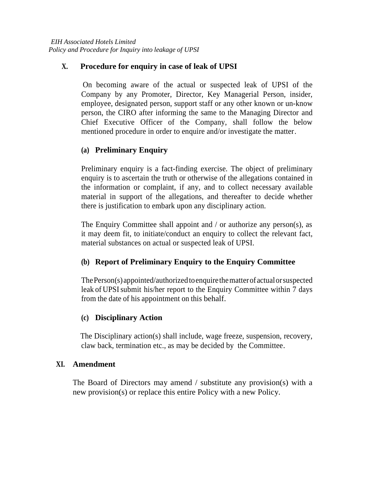## **X. Procedure for enquiry in case of leak of UPSI**

 On becoming aware of the actual or suspected leak of UPSI of the Company by any Promoter, Director, Key Managerial Person, insider, employee, designated person, support staff or any other known or un-know person, the CIRO after informing the same to the Managing Director and Chief Executive Officer of the Company, shall follow the below mentioned procedure in order to enquire and/or investigate the matter.

## **(a) Preliminary Enquiry**

Preliminary enquiry is a fact-finding exercise. The object of preliminary enquiry is to ascertain the truth or otherwise of the allegations contained in the information or complaint, if any, and to collect necessary available material in support of the allegations, and thereafter to decide whether there is justification to embark upon any disciplinary action.

The Enquiry Committee shall appoint and  $\ell$  or authorize any person(s), as it may deem fit, to initiate/conduct an enquiry to collect the relevant fact, material substances on actual or suspected leak of UPSI.

## **(b) Report of Preliminary Enquiry to the Enquiry Committee**

ThePerson(s) appointed/authorizedtoenquirethematterofactualorsuspected leak of UPSI submit his/her report to the Enquiry Committee within 7 days from the date of his appointment on this behalf.

## **(c) Disciplinary Action**

The Disciplinary action(s) shall include, wage freeze, suspension, recovery, claw back, termination etc., as may be decided by the Committee.

## **XI. Amendment**

The Board of Directors may amend / substitute any provision(s) with a new provision(s) or replace this entire Policy with a new Policy.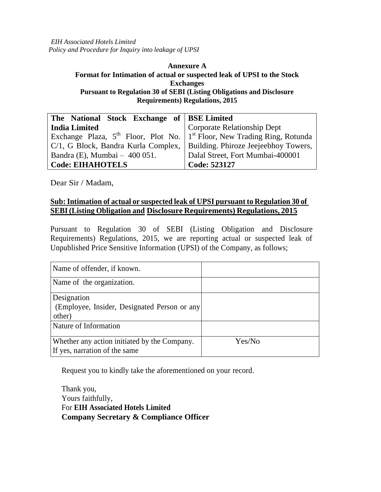*EIH Associated Hotels Limited Policy and Procedure for Inquiry into leakage of UPSI*

#### **Annexure A Format for Intimation of actual or suspected leak of UPSI to the Stock Exchanges Pursuant to Regulation 30 of SEBI (Listing Obligations and Disclosure Requirements) Regulations, 2015**

| The National Stock Exchange of BSE Limited                                         |                                  |
|------------------------------------------------------------------------------------|----------------------------------|
| <b>India Limited</b>                                                               | Corporate Relationship Dept      |
| Exchange Plaza, $5^{th}$ Floor, Plot No. $1^{st}$ Floor, New Trading Ring, Rotunda |                                  |
| C/1, G Block, Bandra Kurla Complex,   Building. Phiroze Jeejeebhoy Towers,         |                                  |
| Bandra (E), Mumbai $-400051$ .                                                     | Dalal Street, Fort Mumbai-400001 |
| <b>Code: EIHAHOTELS</b>                                                            | Code: 523127                     |

Dear Sir / Madam,

#### **Sub:Intimation of actual or suspected leak of UPSI pursuant to Regulation 30 of SEBI(Listing Obligation and Disclosure Requirements) Regulations, 2015**

Pursuant to Regulation 30 of SEBI (Listing Obligation and Disclosure Requirements) Regulations, 2015, we are reporting actual or suspected leak of Unpublished Price Sensitive Information (UPSI) of the Company, as follows;

| Name of offender, if known.                                                                    |        |
|------------------------------------------------------------------------------------------------|--------|
| Name of the organization.                                                                      |        |
| Designation<br>(Employee, Insider, Designated Person or any<br>other)<br>Nature of Information |        |
| Whether any action initiated by the Company.<br>If yes, narration of the same                  | Yes/No |

Request you to kindly take the aforementioned on your record.

Thank you, Yours faithfully, For **EIH Associated Hotels Limited Company Secretary & Compliance Officer**